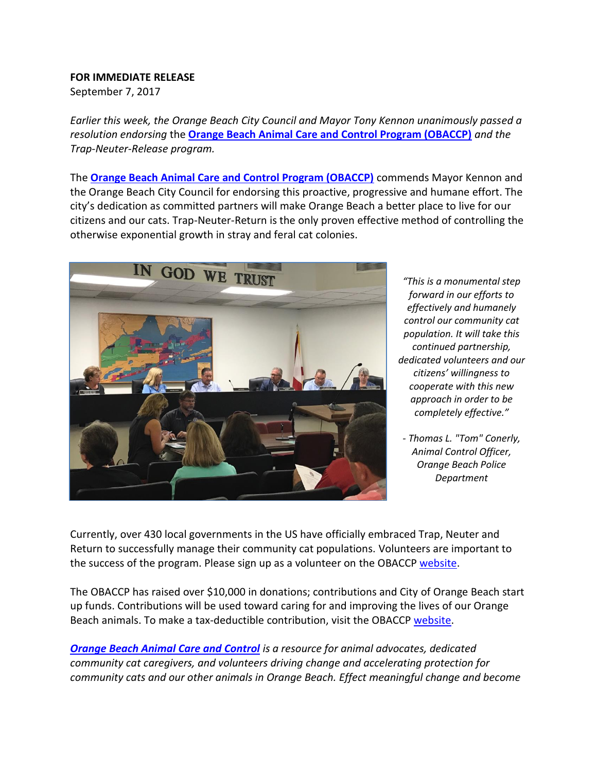## **FOR IMMEDIATE RELEASE**

September 7, 2017

*Earlier this week, the Orange Beach City Council and Mayor Tony Kennon unanimously passed a resolution endorsing* the **[Orange Beach Animal Care and Control Program \(OBACCP\)](https://www.obaccp.org/)** *and the Trap-Neuter-Release program.* 

The **[Orange Beach Animal Care and Control Program \(OBACCP\)](https://www.obaccp.org/)** commends Mayor Kennon and the Orange Beach City Council for endorsing this proactive, progressive and humane effort. The city's dedication as committed partners will make Orange Beach a better place to live for our citizens and our cats. Trap-Neuter-Return is the only proven effective method of controlling the otherwise exponential growth in stray and feral cat colonies.



*"This is a monumental step forward in our efforts to effectively and humanely control our community cat population. It will take this continued partnership, dedicated volunteers and our citizens' willingness to cooperate with this new approach in order to be completely effective."*

*- Thomas L. "Tom" Conerly, Animal Control Officer, Orange Beach Police Department*

Currently, over 430 local governments in the US have officially embraced Trap, Neuter and Return to successfully manage their community cat populations. Volunteers are important to the success of the program. Please sign up as a volunteer on the OBACCP [website.](https://obaccp.org/take-action/)

The OBACCP has raised over \$10,000 in donations; contributions and City of Orange Beach start up funds. Contributions will be used toward caring for and improving the lives of our Orange Beach animals. To make a tax-deductible contribution, visit the OBACCP [website.](https://obaccp.org/take-action/)

*[Orange Beach Animal Care and Control](https://www.obaccp.org/) is a resource for animal advocates, dedicated community cat caregivers, and volunteers driving change and accelerating protection for community cats and our other animals in Orange Beach. Effect meaningful change and become*